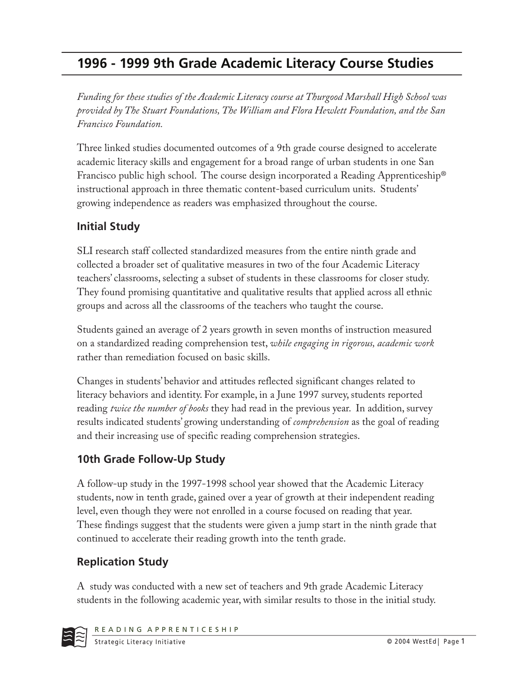# **1996 - 1999 9th Grade Academic Literacy Course Studies**

*Funding for these studies of the Academic Literacy course at Thurgood Marshall High School was provided by The Stuart Foundations, The William and Flora Hewlett Foundation, and the San Francisco Foundation.*

Three linked studies documented outcomes of a 9th grade course designed to accelerate academic literacy skills and engagement for a broad range of urban students in one San Francisco public high school. The course design incorporated a Reading Apprenticeship® instructional approach in three thematic content-based curriculum units. Students' growing independence as readers was emphasized throughout the course.

# **Initial Study**

SLI research staff collected standardized measures from the entire ninth grade and collected a broader set of qualitative measures in two of the four Academic Literacy teachers' classrooms, selecting a subset of students in these classrooms for closer study. They found promising quantitative and qualitative results that applied across all ethnic groups and across all the classrooms of the teachers who taught the course.

Students gained an average of 2 years growth in seven months of instruction measured on a standardized reading comprehension test, *while engaging in rigorous, academic work* rather than remediation focused on basic skills.

Changes in students' behavior and attitudes reflected significant changes related to literacy behaviors and identity. For example, in a June 1997 survey, students reported reading *twice the number of books* they had read in the previous year. In addition, survey results indicated students' growing understanding of *comprehension* as the goal of reading and their increasing use of specific reading comprehension strategies.

# **10th Grade Follow-Up Study**

A follow-up study in the 1997-1998 school year showed that the Academic Literacy students, now in tenth grade, gained over a year of growth at their independent reading level, even though they were not enrolled in a course focused on reading that year. These findings suggest that the students were given a jump start in the ninth grade that continued to accelerate their reading growth into the tenth grade.

# **Replication Study**

A study was conducted with a new set of teachers and 9th grade Academic Literacy students in the following academic year, with similar results to those in the initial study.

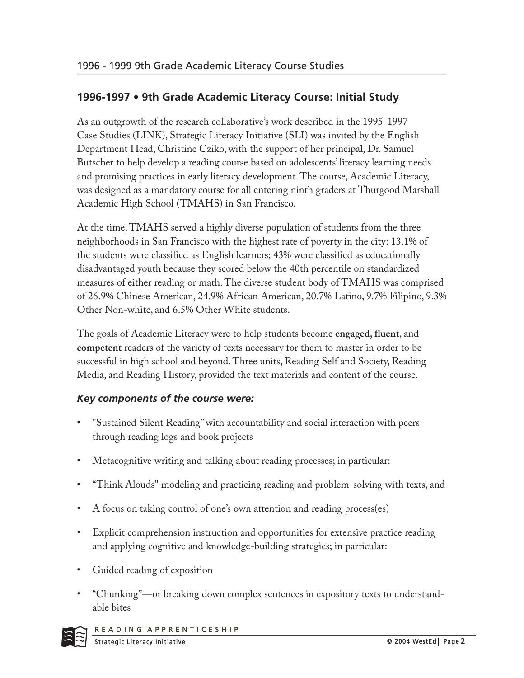### **1996-1997 • 9th Grade Academic Literacy Course: Initial Study**

As an outgrowth of the research collaborative's work described in the 1995-1997 Case Studies (LINK), Strategic Literacy Initiative (SLI) was invited by the English Department Head, Christine Cziko, with the support of her principal, Dr. Samuel Butscher to help develop a reading course based on adolescents' literacy learning needs and promising practices in early literacy development. The course, Academic Literacy, was designed as a mandatory course for all entering ninth graders at Thurgood Marshall Academic High School (TMAHS) in San Francisco.

At the time, TMAHS served a highly diverse population of students from the three neighborhoods in San Francisco with the highest rate of poverty in the city: 13.1% of the students were classified as English learners; 43% were classified as educationally disadvantaged youth because they scored below the 40th percentile on standardized measures of either reading or math. The diverse student body of TMAHS was comprised of 26.9% Chinese American, 24.9% African American, 20.7% Latino, 9.7% Filipino, 9.3% Other Non-white, and 6.5% Other White students.

The goals of Academic Literacy were to help students become **engaged, fluent**, and competent readers of the variety of texts necessary for them to master in order to be successful in high school and beyond. Three units, Reading Self and Society, Reading Media, and Reading History, provided the text materials and content of the course.

#### *Key components of the course were:*

- "Sustained Silent Reading" with accountability and social interaction with peers through reading logs and book projects
- Metacognitive writing and talking about reading processes; in particular:
- "Think Alouds" modeling and practicing reading and problem-solving with texts, and
- A focus on taking control of one's own attention and reading process(es)
- Explicit comprehension instruction and opportunities for extensive practice reading and applying cognitive and knowledge-building strategies; in particular:
- Guided reading of exposition
- "Chunking"—or breaking down complex sentences in expository texts to understandable bites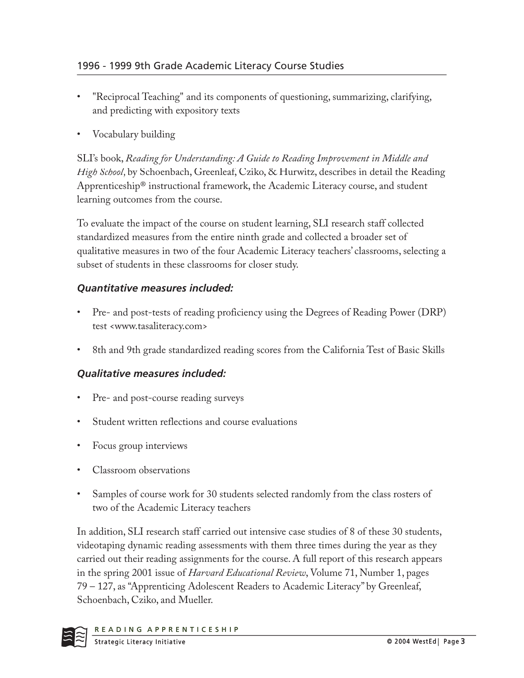- "Reciprocal Teaching" and its components of questioning, summarizing, clarifying, and predicting with expository texts
- Vocabulary building

SLI's book, *Reading for Understanding: A Guide to Reading Improvement in Middle and High School* , by Schoenbach, Greenleaf, Cziko, & Hurwitz, describes in detail the Reading Apprenticeship® instructional framework, the Academic Literacy course, and student learning outcomes from the course.

To evaluate the impact of the course on student learning, SLI research staff collected standardized measures from the entire ninth grade and collected a broader set of qualitative measures in two of the four Academic Literacy teachers' classrooms, selecting a subset of students in these classrooms for closer study.

#### *Quantitative measures included:*

- Pre- and post-tests of reading proficiency using the Degrees of Reading Power (DRP) test <www.tasaliteracy.com>
- 8th and 9th grade standardized reading scores from the California Test of Basic Skills

#### *Qualitative measures included:*

- Pre- and post-course reading surveys
- Student written reflections and course evaluations
- Focus group interviews
- Classroom observations
- Samples of course work for 30 students selected randomly from the class rosters of two of the Academic Literacy teachers

In addition, SLI research staff carried out intensive case studies of 8 of these 30 students, videotaping dynamic reading assessments with them three times during the year as they carried out their reading assignments for the course. A full report of this research appears in the spring 2001 issue of *Harvard Educational Review*, Volume 71, Number 1, pages 79 – 127, as "Apprenticing Adolescent Readers to Academic Literacy" by Greenleaf, Schoenbach, Cziko, and Mueller.

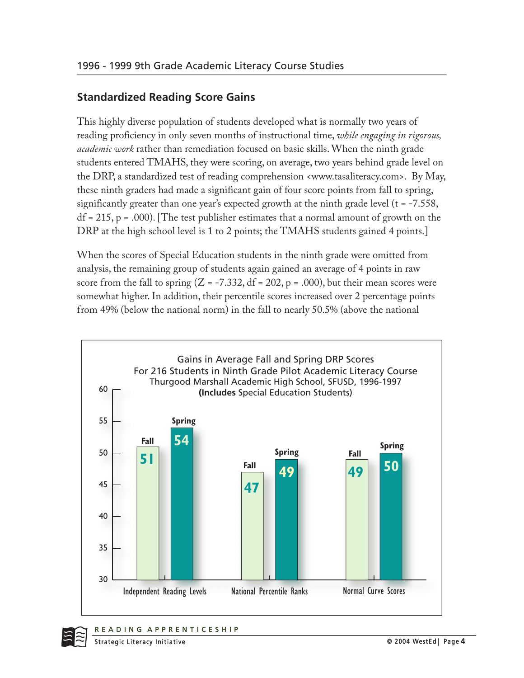### **Standardized Reading Score Gains**

This highly diverse population of students developed what is normally two years of reading proficiency in only seven months of instructional time, *while engaging in rigorous, academic work* rather than remediation focused on basic skills. When the ninth grade students entered TMAHS, they were scoring, on average, two years behind grade level on the DRP, a standardized test of reading comprehension <www.tasaliteracy.com>. By May, these ninth graders had made a significant gain of four score points from fall to spring, significantly greater than one year's expected growth at the ninth grade level (t = -7.558,  $df = 215$ ,  $p = .000$ ). [The test publisher estimates that a normal amount of growth on the DRP at the high school level is 1 to 2 points; the TMAHS students gained 4 points.]

When the scores of Special Education students in the ninth grade were omitted from analysis, the remaining group of students again gained an average of 4 points in raw score from the fall to spring  $(Z = -7.332, df = 202, p = .000)$ , but their mean scores were somewhat higher. In addition, their percentile scores increased over 2 percentage points from 49% (below the national norm) in the fall to nearly 50.5% (above the national





© 2004 WestEd | Page 4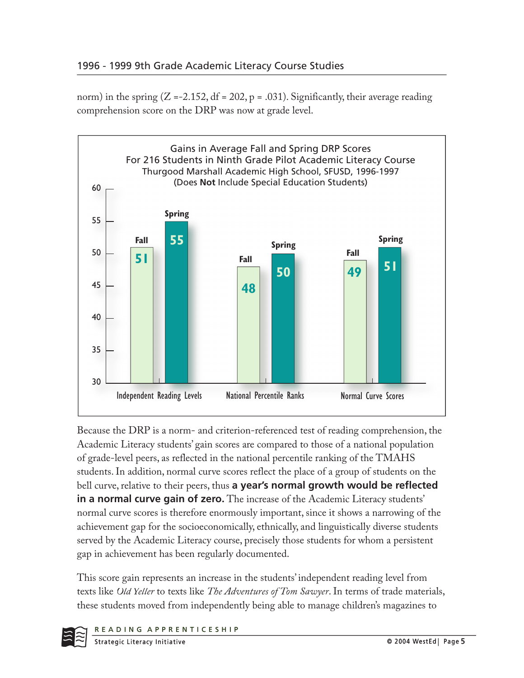norm) in the spring  $(Z = -2.152, df = 202, p = .031)$ . Significantly, their average reading comprehension score on the DRP was now at grade level.



Because the DRP is a norm- and criterion-referenced test of reading comprehension, the Academic Literacy students' gain scores are compared to those of a national population of grade-level peers, as reflected in the national percentile ranking of the TMAHS students. In addition, normal curve scores reflect the place of a group of students on the bell curve, relative to their peers, thus **a year's normal growth would be reflected in a normal curve gain of zero.** The increase of the Academic Literacy students' normal curve scores is therefore enormously important, since it shows a narrowing of the achievement gap for the socioeconomically, ethnically, and linguistically diverse students served by the Academic Literacy course, precisely those students for whom a persistent gap in achievement has been regularly documented.

This score gain represents an increase in the students' independent reading level from texts like *Old Yeller* to texts like *The Adventures of Tom Sawyer*. In terms of trade materials, these students moved from independently being able to manage children's magazines to

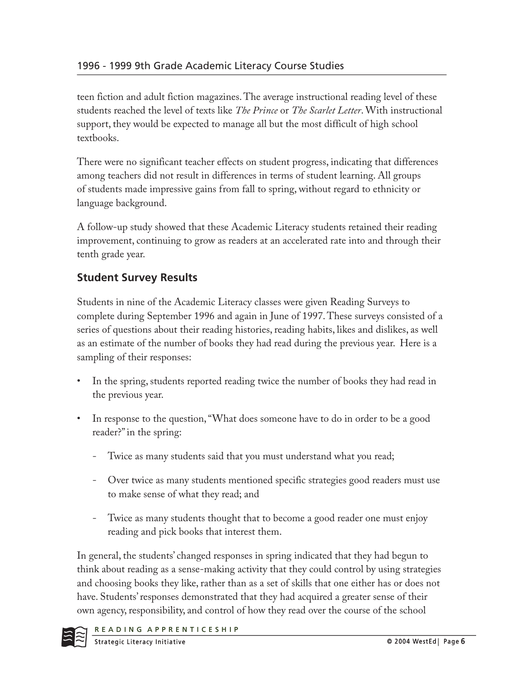teen fiction and adult fiction magazines. The average instructional reading level of these students reached the level of texts like *The Prince* or *The Scarlet Letter*. With instructional support, they would be expected to manage all but the most difficult of high school textbooks.

There were no significant teacher effects on student progress, indicating that differences among teachers did not result in differences in terms of student learning. All groups of students made impressive gains from fall to spring, without regard to ethnicity or language background.

A follow-up study showed that these Academic Literacy students retained their reading improvement, continuing to grow as readers at an accelerated rate into and through their tenth grade year.

# **Student Survey Results**

Students in nine of the Academic Literacy classes were given Reading Surveys to complete during September 1996 and again in June of 1997. These surveys consisted of a series of questions about their reading histories, reading habits, likes and dislikes, as well as an estimate of the number of books they had read during the previous year. Here is a sampling of their responses:

- In the spring, students reported reading twice the number of books they had read in the previous year.
- In response to the question, "What does someone have to do in order to be a good reader?" in the spring:
	- Twice as many students said that you must understand what you read;
	- Over twice as many students mentioned specific strategies good readers must use to make sense of what they read; and
	- Twice as many students thought that to become a good reader one must enjoy reading and pick books that interest them.

In general, the students' changed responses in spring indicated that they had begun to think about reading as a sense-making activity that they could control by using strategies and choosing books they like, rather than as a set of skills that one either has or does not have. Students' responses demonstrated that they had acquired a greater sense of their own agency, responsibility, and control of how they read over the course of the school

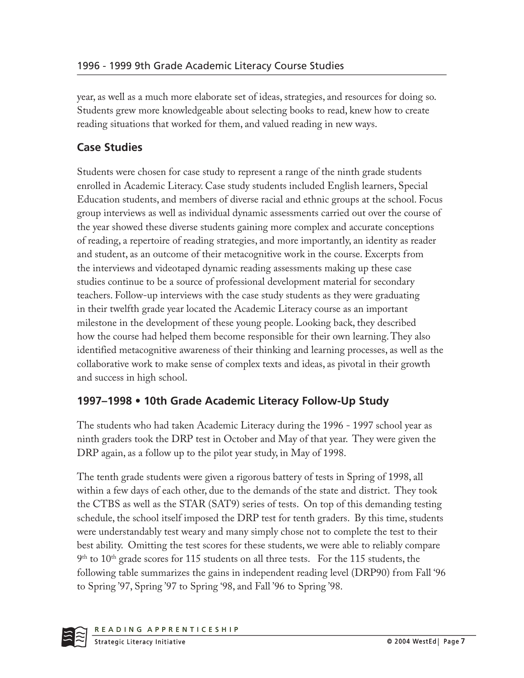year, as well as a much more elaborate set of ideas, strategies, and resources for doing so. Students grew more knowledgeable about selecting books to read, knew how to create reading situations that worked for them, and valued reading in new ways.

## **Case Studies**

Students were chosen for case study to represent a range of the ninth grade students enrolled in Academic Literacy. Case study students included English learners, Special Education students, and members of diverse racial and ethnic groups at the school. Focus group interviews as well as individual dynamic assessments carried out over the course of the year showed these diverse students gaining more complex and accurate conceptions of reading, a repertoire of reading strategies, and more importantly, an identity as reader and student, as an outcome of their metacognitive work in the course. Excerpts from the interviews and videotaped dynamic reading assessments making up these case studies continue to be a source of professional development material for secondary teachers. Follow-up interviews with the case study students as they were graduating in their twelfth grade year located the Academic Literacy course as an important milestone in the development of these young people. Looking back, they described how the course had helped them become responsible for their own learning. They also identified metacognitive awareness of their thinking and learning processes, as well as the collaborative work to make sense of complex texts and ideas, as pivotal in their growth and success in high school.

### **1997–1998 • 10th Grade Academic Literacy Follow-Up Study**

The students who had taken Academic Literacy during the 1996 - 1997 school year as ninth graders took the DRP test in October and May of that year. They were given the DRP again, as a follow up to the pilot year study, in May of 1998.

The tenth grade students were given a rigorous battery of tests in Spring of 1998, all within a few days of each other, due to the demands of the state and district. They took the CTBS as well as the STAR (SAT9) series of tests. On top of this demanding testing schedule, the school itself imposed the DRP test for tenth graders. By this time, students were understandably test weary and many simply chose not to complete the test to their best ability. Omitting the test scores for these students, we were able to reliably compare 9<sup>th</sup> to 10<sup>th</sup> grade scores for 115 students on all three tests. For the 115 students, the following table summarizes the gains in independent reading level (DRP90) from Fall '96 to Spring '97, Spring '97 to Spring '98, and Fall '96 to Spring '98.

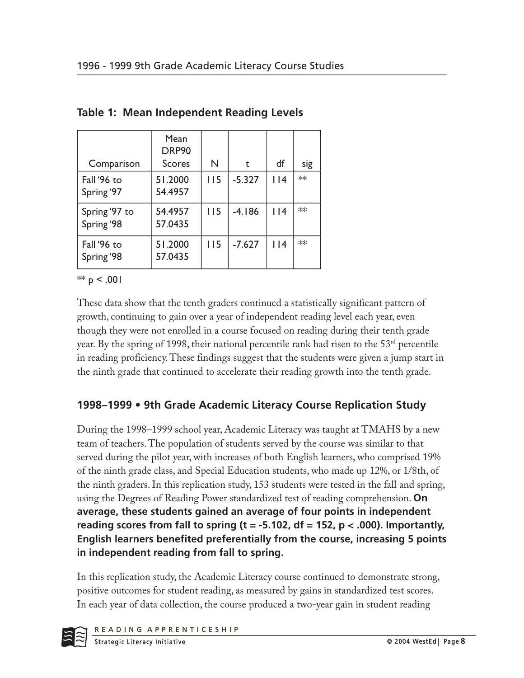| Comparison                  | Mean<br>DRP90<br><b>Scores</b> | N   | t        | df     | sig |
|-----------------------------|--------------------------------|-----|----------|--------|-----|
| Fall '96 to<br>Spring '97   | 51.2000<br>54.4957             | 115 | $-5.327$ | $ $  4 | **  |
| Spring '97 to<br>Spring '98 | 54.4957<br>57.0435             | 115 | $-4.186$ | $ $  4 | ∗∗  |
| Fall '96 to<br>Spring '98   | 51.2000<br>57.0435             | 115 | $-7.627$ | $ $  4 | ∗∗  |

|  |  | Table 1: Mean Independent Reading Levels |  |
|--|--|------------------------------------------|--|
|  |  |                                          |  |

 $** p < .001$ 

These data show that the tenth graders continued a statistically significant pattern of growth, continuing to gain over a year of independent reading level each year, even though they were not enrolled in a course focused on reading during their tenth grade year. By the spring of 1998, their national percentile rank had risen to the  $53<sup>rd</sup>$  percentile in reading proficiency. These findings suggest that the students were given a jump start in the ninth grade that continued to accelerate their reading growth into the tenth grade.

### **1998–1999 • 9th Grade Academic Literacy Course Replication Study**

During the 1998–1999 school year, Academic Literacy was taught at TMAHS by a new team of teachers. The population of students served by the course was similar to that served during the pilot year, with increases of both English learners, who comprised 19% of the ninth grade class, and Special Education students, who made up 12%, or 1/8th, of the ninth graders. In this replication study, 153 students were tested in the fall and spring, using the Degrees of Reading Power standardized test of reading comprehension. **On average, these students gained an average of four points in independent reading scores from fall to spring (t = -5.102, df = 152, p < .000). Importantly, English learners benefited preferentially from the course, increasing 5 points in independent reading from fall to spring.**

In this replication study, the Academic Literacy course continued to demonstrate strong, positive outcomes for student reading, as measured by gains in standardized test scores. In each year of data collection, the course produced a two-year gain in student reading